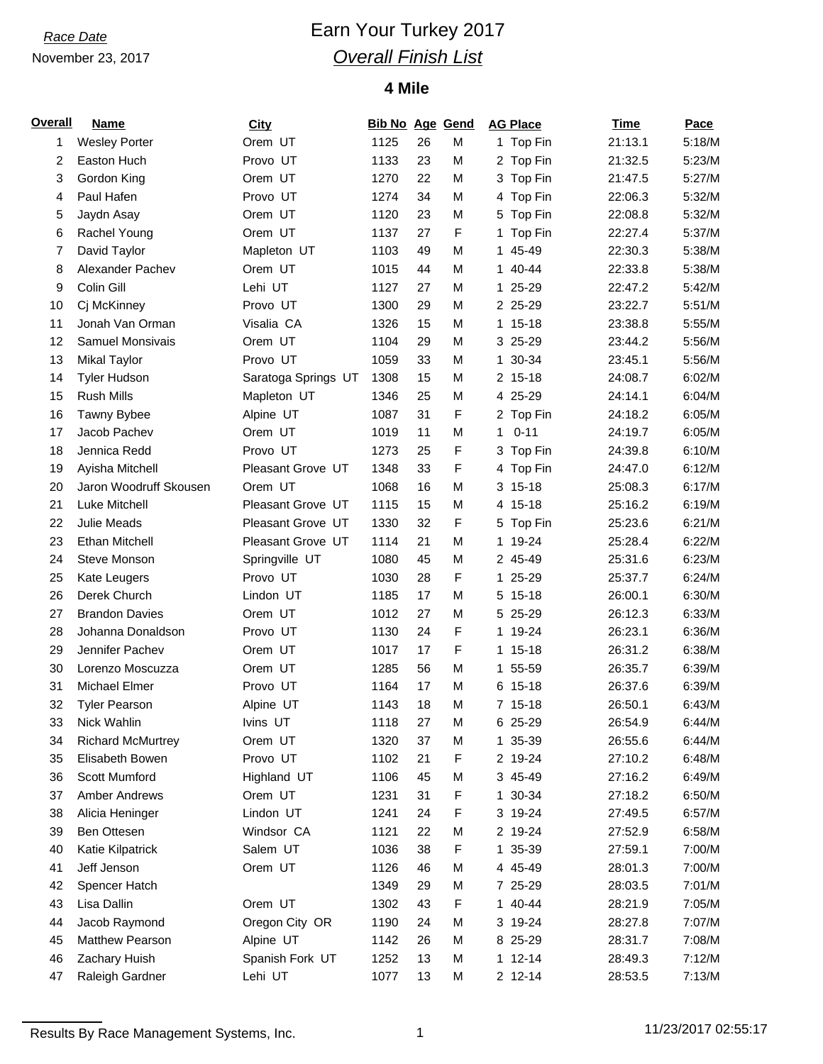## *Race Date* **Earn Your Turkey 2017** *Overall Finish List*

### **4 Mile**

| <b>Overall</b> | <b>Name</b>              | <b>City</b>         | <b>Bib No Age Gend</b> |    |   | <b>AG Place</b> | <b>Time</b> | Pace   |
|----------------|--------------------------|---------------------|------------------------|----|---|-----------------|-------------|--------|
| 1              | <b>Wesley Porter</b>     | Orem UT             | 1125                   | 26 | M | 1 Top Fin       | 21:13.1     | 5:18/M |
| 2              | Easton Huch              | Provo UT            | 1133                   | 23 | М | 2 Top Fin       | 21:32.5     | 5:23/M |
| 3              | Gordon King              | Orem UT             | 1270                   | 22 | M | 3 Top Fin       | 21:47.5     | 5:27/M |
| 4              | Paul Hafen               | Provo UT            | 1274                   | 34 | M | 4 Top Fin       | 22:06.3     | 5:32/M |
| 5              | Jaydn Asay               | Orem UT             | 1120                   | 23 | М | 5 Top Fin       | 22:08.8     | 5:32/M |
| 6              | Rachel Young             | Orem UT             | 1137                   | 27 | F | 1 Top Fin       | 22:27.4     | 5:37/M |
| 7              | David Taylor             | Mapleton UT         | 1103                   | 49 | M | 1 45-49         | 22:30.3     | 5:38/M |
| 8              | Alexander Pachev         | Orem UT             | 1015                   | 44 | M | 1 40-44         | 22:33.8     | 5:38/M |
| 9              | Colin Gill               | Lehi UT             | 1127                   | 27 | М | 1 25-29         | 22:47.2     | 5:42/M |
| 10             | Cj McKinney              | Provo UT            | 1300                   | 29 | М | 2 25-29         | 23:22.7     | 5:51/M |
| 11             | Jonah Van Orman          | Visalia CA          | 1326                   | 15 | M | 1 15-18         | 23:38.8     | 5:55/M |
| 12             | Samuel Monsivais         | Orem UT             | 1104                   | 29 | M | 3 25-29         | 23:44.2     | 5:56/M |
| 13             | <b>Mikal Taylor</b>      | Provo UT            | 1059                   | 33 | M | 1 30-34         | 23:45.1     | 5:56/M |
| 14             | <b>Tyler Hudson</b>      | Saratoga Springs UT | 1308                   | 15 | М | 2 15-18         | 24:08.7     | 6:02/M |
| 15             | <b>Rush Mills</b>        | Mapleton UT         | 1346                   | 25 | M | 4 25-29         | 24:14.1     | 6:04/M |
| 16             | Tawny Bybee              | Alpine UT           | 1087                   | 31 | F | 2 Top Fin       | 24:18.2     | 6:05/M |
| 17             | Jacob Pachev             | Orem UT             | 1019                   | 11 | M | $0 - 11$<br>1.  | 24:19.7     | 6:05/M |
| 18             | Jennica Redd             | Provo UT            | 1273                   | 25 | F | 3 Top Fin       | 24:39.8     | 6:10/M |
| 19             | Ayisha Mitchell          | Pleasant Grove UT   | 1348                   | 33 | F | 4 Top Fin       | 24:47.0     | 6:12/M |
| 20             | Jaron Woodruff Skousen   | Orem UT             | 1068                   | 16 | M | $3, 15-18$      | 25:08.3     | 6:17/M |
| 21             | Luke Mitchell            | Pleasant Grove UT   | 1115                   | 15 | М | 4 15-18         | 25:16.2     | 6:19/M |
| 22             | Julie Meads              | Pleasant Grove UT   | 1330                   | 32 | F | 5 Top Fin       | 25:23.6     | 6:21/M |
| 23             | <b>Ethan Mitchell</b>    | Pleasant Grove UT   | 1114                   | 21 | M | 1 19-24         | 25:28.4     | 6:22/M |
| 24             | Steve Monson             | Springville UT      | 1080                   | 45 | М | 2 45-49         | 25:31.6     | 6:23/M |
| 25             | Kate Leugers             | Provo UT            | 1030                   | 28 | F | 1 25-29         | 25:37.7     | 6:24/M |
| 26             | Derek Church             | Lindon UT           | 1185                   | 17 | М | 5 15-18         | 26:00.1     | 6:30/M |
| 27             | <b>Brandon Davies</b>    | Orem UT             | 1012                   | 27 | M | 5 25-29         | 26:12.3     | 6:33/M |
| 28             | Johanna Donaldson        | Provo UT            | 1130                   | 24 | F | 1 19-24         | 26:23.1     | 6:36/M |
| 29             | Jennifer Pachev          | Orem UT             | 1017                   | 17 | F | 1 15-18         | 26:31.2     | 6:38/M |
| 30             | Lorenzo Moscuzza         | Orem UT             | 1285                   | 56 | M | 1 55-59         | 26:35.7     | 6:39/M |
| 31             | Michael Elmer            | Provo UT            | 1164                   | 17 | M | 6 15-18         | 26:37.6     | 6:39/M |
| 32             | <b>Tyler Pearson</b>     | Alpine UT           | 1143                   | 18 | M | 7 15-18         | 26:50.1     | 6:43/M |
| 33             | Nick Wahlin              | Ivins UT            | 1118                   | 27 | М | 6 25-29         | 26:54.9     | 6:44/M |
| 34             | <b>Richard McMurtrey</b> | Orem UT             | 1320                   | 37 | М | 1 35-39         | 26:55.6     | 6:44/M |
| 35             | Elisabeth Bowen          | Provo UT            | 1102                   | 21 | F | 2 19-24         | 27:10.2     | 6:48/M |
| 36             | Scott Mumford            | Highland UT         | 1106                   | 45 | M | 3 45-49         | 27:16.2     | 6:49/M |
| 37             | Amber Andrews            | Orem UT             | 1231                   | 31 | F | 1 30-34         | 27:18.2     | 6:50/M |
| 38             | Alicia Heninger          | Lindon UT           | 1241                   | 24 | F | 3 19-24         | 27:49.5     | 6:57/M |
| 39             | Ben Ottesen              | Windsor CA          | 1121                   | 22 | M | 2 19-24         | 27:52.9     | 6:58/M |
| 40             | Katie Kilpatrick         | Salem UT            | 1036                   | 38 | F | 1 35-39         | 27:59.1     | 7:00/M |
| 41             | Jeff Jenson              | Orem UT             | 1126                   | 46 | M | 4 45-49         | 28:01.3     | 7:00/M |
| 42             | Spencer Hatch            |                     | 1349                   | 29 | М | 7 25-29         | 28:03.5     | 7:01/M |
| 43             | Lisa Dallin              | Orem UT             | 1302                   | 43 | F | 1 40-44         | 28:21.9     | 7:05/M |
| 44             | Jacob Raymond            | Oregon City OR      | 1190                   | 24 | М | 3 19-24         | 28:27.8     | 7:07/M |
| 45             | Matthew Pearson          | Alpine UT           | 1142                   | 26 | М | 8 25-29         | 28:31.7     | 7:08/M |
| 46             | Zachary Huish            | Spanish Fork UT     | 1252                   | 13 | М | $1 12 - 14$     | 28:49.3     | 7:12/M |
| 47             | Raleigh Gardner          | Lehi UT             | 1077                   | 13 | M | 2 12-14         | 28:53.5     | 7:13/M |

Results By Race Management Systems, Inc. 1 1 11/23/2017 02:55:17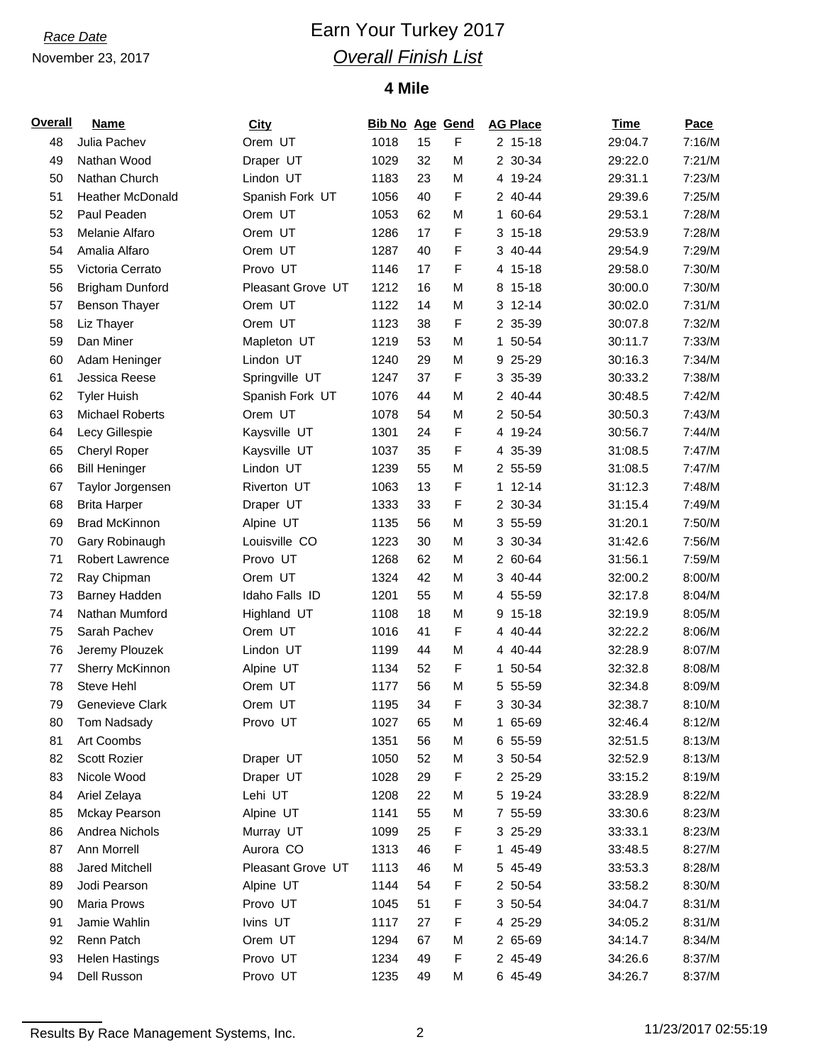## *Race Date* **Earn Your Turkey 2017** *Overall Finish List*

### **4 Mile**

| Overall | <b>Name</b>             | City              | <b>Bib No Age Gend</b> |    |   | <b>AG Place</b> | <b>Time</b> | Pace   |
|---------|-------------------------|-------------------|------------------------|----|---|-----------------|-------------|--------|
| 48      | Julia Pachev            | Orem UT           | 1018                   | 15 | F | $2, 15-18$      | 29:04.7     | 7:16/M |
| 49      | Nathan Wood             | Draper UT         | 1029                   | 32 | M | 2 30-34         | 29:22.0     | 7:21/M |
| 50      | Nathan Church           | Lindon UT         | 1183                   | 23 | M | 4 19-24         | 29:31.1     | 7:23/M |
| 51      | <b>Heather McDonald</b> | Spanish Fork UT   | 1056                   | 40 | F | 2 40-44         | 29:39.6     | 7:25/M |
| 52      | Paul Peaden             | Orem UT           | 1053                   | 62 | М | 1 60-64         | 29:53.1     | 7:28/M |
| 53      | Melanie Alfaro          | Orem UT           | 1286                   | 17 | F | $3 15 - 18$     | 29:53.9     | 7:28/M |
| 54      | Amalia Alfaro           | Orem UT           | 1287                   | 40 | F | 3 40-44         | 29:54.9     | 7:29/M |
| 55      | Victoria Cerrato        | Provo UT          | 1146                   | 17 | F | 4 15-18         | 29:58.0     | 7:30/M |
| 56      | <b>Brigham Dunford</b>  | Pleasant Grove UT | 1212                   | 16 | М | 8 15-18         | 30:00.0     | 7:30/M |
| 57      | <b>Benson Thayer</b>    | Orem UT           | 1122                   | 14 | M | 3 12-14         | 30:02.0     | 7:31/M |
| 58      | Liz Thayer              | Orem UT           | 1123                   | 38 | F | 2 35-39         | 30:07.8     | 7:32/M |
| 59      | Dan Miner               | Mapleton UT       | 1219                   | 53 | M | 1 50-54         | 30:11.7     | 7:33/M |
| 60      | Adam Heninger           | Lindon UT         | 1240                   | 29 | M | 9 25-29         | 30:16.3     | 7:34/M |
| 61      | Jessica Reese           | Springville UT    | 1247                   | 37 | F | 3 35-39         | 30:33.2     | 7:38/M |
| 62      | <b>Tyler Huish</b>      | Spanish Fork UT   | 1076                   | 44 | M | 2 40-44         | 30:48.5     | 7:42/M |
| 63      | <b>Michael Roberts</b>  | Orem UT           | 1078                   | 54 | M | 2 50-54         | 30:50.3     | 7:43/M |
| 64      | Lecy Gillespie          | Kaysville UT      | 1301                   | 24 | F | 4 19-24         | 30:56.7     | 7:44/M |
| 65      | Cheryl Roper            | Kaysville UT      | 1037                   | 35 | F | 4 35-39         | 31:08.5     | 7:47/M |
| 66      | <b>Bill Heninger</b>    | Lindon UT         | 1239                   | 55 | M | 2 55-59         | 31:08.5     | 7:47/M |
| 67      | Taylor Jorgensen        | Riverton UT       | 1063                   | 13 | F | $1 12 - 14$     | 31:12.3     | 7:48/M |
| 68      | <b>Brita Harper</b>     | Draper UT         | 1333                   | 33 | F | 2 30-34         | 31:15.4     | 7:49/M |
| 69      | <b>Brad McKinnon</b>    | Alpine UT         | 1135                   | 56 | M | 3 55-59         | 31:20.1     | 7:50/M |
| 70      | Gary Robinaugh          | Louisville CO     | 1223                   | 30 | M | 3 30-34         | 31:42.6     | 7:56/M |
| 71      | <b>Robert Lawrence</b>  | Provo UT          | 1268                   | 62 | M | 2 60-64         | 31:56.1     | 7:59/M |
| 72      | Ray Chipman             | Orem UT           | 1324                   | 42 | М | 3 40-44         | 32:00.2     | 8:00/M |
| 73      | Barney Hadden           | Idaho Falls ID    | 1201                   | 55 | M | 4 55-59         | 32:17.8     | 8:04/M |
| 74      | Nathan Mumford          | Highland UT       | 1108                   | 18 | M | 15-18<br>9      | 32:19.9     | 8:05/M |
| 75      | Sarah Pachev            | Orem UT           | 1016                   | 41 | F | 4 40-44         | 32:22.2     | 8:06/M |
| 76      | Jeremy Plouzek          | Lindon UT         | 1199                   | 44 | M | 4 40-44         | 32:28.9     | 8:07/M |
| 77      | Sherry McKinnon         | Alpine UT         | 1134                   | 52 | F | 1 50-54         | 32:32.8     | 8:08/M |
| 78      | Steve Hehl              | Orem UT           | 1177                   | 56 | M | 5 55-59         | 32:34.8     | 8:09/M |
| 79      | Genevieve Clark         | Orem UT           | 1195                   | 34 | F | 3 30-34         | 32:38.7     | 8:10/M |
| 80      | Tom Nadsady             | Provo UT          | 1027                   | 65 | М | 1 65-69         | 32:46.4     | 8:12/M |
| 81      | Art Coombs              |                   | 1351                   | 56 | М | 6 55-59         | 32:51.5     | 8:13/M |
| 82      | Scott Rozier            | Draper UT         | 1050                   | 52 | M | 3 50-54         | 32:52.9     | 8:13/M |
| 83      | Nicole Wood             | Draper UT         | 1028                   | 29 | F | 2 25-29         | 33:15.2     | 8:19/M |
| 84      | Ariel Zelaya            | Lehi UT           | 1208                   | 22 | М | 5 19-24         | 33:28.9     | 8:22/M |
| 85      | Mckay Pearson           | Alpine UT         | 1141                   | 55 | М | 7 55-59         | 33:30.6     | 8:23/M |
| 86      | Andrea Nichols          | Murray UT         | 1099                   | 25 | F | 3 25-29         | 33:33.1     | 8:23/M |
| 87      | Ann Morrell             | Aurora CO         | 1313                   | 46 | F | 1 45-49         | 33:48.5     | 8:27/M |
| 88      | <b>Jared Mitchell</b>   | Pleasant Grove UT | 1113                   | 46 | М | 5 45-49         | 33:53.3     | 8:28/M |
| 89      | Jodi Pearson            | Alpine UT         | 1144                   | 54 | F | 2 50-54         | 33:58.2     | 8:30/M |
| 90      | Maria Prows             | Provo UT          | 1045                   | 51 | F | 3 50-54         | 34:04.7     | 8:31/M |
| 91      | Jamie Wahlin            | Ivins UT          | 1117                   | 27 | F | 4 25-29         | 34:05.2     | 8:31/M |
| 92      | Renn Patch              | Orem UT           | 1294                   | 67 | М | 2 65-69         | 34:14.7     | 8:34/M |
| 93      | <b>Helen Hastings</b>   | Provo UT          | 1234                   | 49 | F | 2 45-49         | 34:26.6     | 8:37/M |
| 94      | Dell Russon             | Provo UT          | 1235                   | 49 | М | 6 45-49         | 34:26.7     | 8:37/M |

Results By Race Management Systems, Inc. 2 2 11/23/2017 02:55:19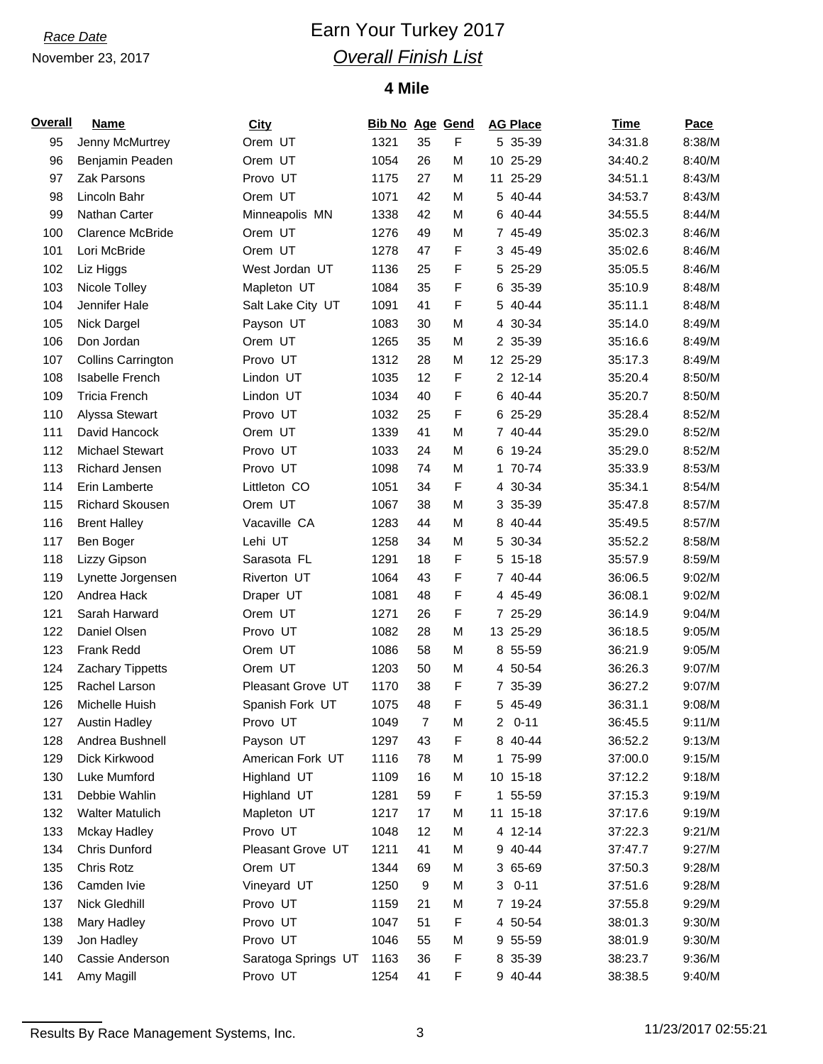## *Race Date* **Earn Your Turkey 2017** *Overall Finish List*

### **4 Mile**

| <b>Overall</b> | <b>Name</b>             | <b>City</b>         | <b>Bib No Age Gend</b> |    |   |              | <b>AG Place</b> | <b>Time</b> | <b>Pace</b> |
|----------------|-------------------------|---------------------|------------------------|----|---|--------------|-----------------|-------------|-------------|
| 95             | Jenny McMurtrey         | Orem UT             | 1321                   | 35 | F |              | 5 35-39         | 34:31.8     | 8:38/M      |
| 96             | Benjamin Peaden         | Orem UT             | 1054                   | 26 | M |              | 10 25-29        | 34:40.2     | 8:40/M      |
| 97             | Zak Parsons             | Provo UT            | 1175                   | 27 | М |              | 11 25-29        | 34:51.1     | 8:43/M      |
| 98             | Lincoln Bahr            | Orem UT             | 1071                   | 42 | M |              | 5 40-44         | 34:53.7     | 8:43/M      |
| 99             | Nathan Carter           | Minneapolis MN      | 1338                   | 42 | M |              | 6 40-44         | 34:55.5     | 8:44/M      |
| 100            | <b>Clarence McBride</b> | Orem UT             | 1276                   | 49 | M |              | 7 45-49         | 35:02.3     | 8:46/M      |
| 101            | Lori McBride            | Orem UT             | 1278                   | 47 | F |              | 3 45-49         | 35:02.6     | 8:46/M      |
| 102            | Liz Higgs               | West Jordan UT      | 1136                   | 25 | F |              | 5 25-29         | 35:05.5     | 8:46/M      |
| 103            | Nicole Tolley           | Mapleton UT         | 1084                   | 35 | F |              | 6 35-39         | 35:10.9     | 8:48/M      |
| 104            | Jennifer Hale           | Salt Lake City UT   | 1091                   | 41 | F |              | 5 40-44         | 35:11.1     | 8:48/M      |
| 105            | Nick Dargel             | Payson UT           | 1083                   | 30 | M |              | 4 30-34         | 35:14.0     | 8:49/M      |
| 106            | Don Jordan              | Orem UT             | 1265                   | 35 | M |              | 2 35-39         | 35:16.6     | 8:49/M      |
| 107            | Collins Carrington      | Provo UT            | 1312                   | 28 | M |              | 12 25-29        | 35:17.3     | 8:49/M      |
| 108            | Isabelle French         | Lindon UT           | 1035                   | 12 | F |              | 2 12-14         | 35:20.4     | 8:50/M      |
| 109            | <b>Tricia French</b>    | Lindon UT           | 1034                   | 40 | F |              | 6 40-44         | 35:20.7     | 8:50/M      |
| 110            | Alyssa Stewart          | Provo UT            | 1032                   | 25 | F |              | 6 25-29         | 35:28.4     | 8:52/M      |
| 111            | David Hancock           | Orem UT             | 1339                   | 41 | M |              | 7 40-44         | 35:29.0     | 8:52/M      |
| 112            | <b>Michael Stewart</b>  | Provo UT            | 1033                   | 24 | M |              | 6 19-24         | 35:29.0     | 8:52/M      |
| 113            | <b>Richard Jensen</b>   | Provo UT            | 1098                   | 74 | M |              | 1 70-74         | 35:33.9     | 8:53/M      |
| 114            | Erin Lamberte           | Littleton CO        | 1051                   | 34 | F |              | 4 30-34         | 35:34.1     | 8:54/M      |
| 115            | Richard Skousen         | Orem UT             | 1067                   | 38 | M |              | 3 35-39         | 35:47.8     | 8:57/M      |
| 116            | <b>Brent Halley</b>     | Vacaville CA        | 1283                   | 44 | M |              | 8 40-44         | 35:49.5     | 8:57/M      |
| 117            | Ben Boger               | Lehi UT             | 1258                   | 34 | M | 5            | 30-34           | 35:52.2     | 8:58/M      |
| 118            | Lizzy Gipson            | Sarasota FL         | 1291                   | 18 | F |              | 5 15-18         | 35:57.9     | 8:59/M      |
| 119            | Lynette Jorgensen       | Riverton UT         | 1064                   | 43 | F |              | 7 40-44         | 36:06.5     | 9:02/M      |
| 120            | Andrea Hack             | Draper UT           | 1081                   | 48 | F |              | 4 45-49         | 36:08.1     | 9:02/M      |
| 121            | Sarah Harward           | Orem UT             | 1271                   | 26 | F |              | 7 25-29         | 36:14.9     | 9:04/M      |
| 122            | Daniel Olsen            | Provo UT            | 1082                   | 28 | M |              | 13 25-29        | 36:18.5     | 9:05/M      |
| 123            | Frank Redd              | Orem UT             | 1086                   | 58 | M |              | 8 55-59         | 36:21.9     | 9:05/M      |
| 124            | Zachary Tippetts        | Orem UT             | 1203                   | 50 | M |              | 4 50-54         | 36:26.3     | 9:07/M      |
| 125            | Rachel Larson           | Pleasant Grove UT   | 1170                   | 38 | F |              | 7 35-39         | 36:27.2     | 9:07/M      |
| 126            | Michelle Huish          | Spanish Fork UT     | 1075                   | 48 | F |              | 5 45-49         | 36:31.1     | 9:08/M      |
| 127            | <b>Austin Hadley</b>    | Provo UT            | 1049                   | 7  | M | $\mathbf{2}$ | $0 - 11$        | 36:45.5     | 9:11/M      |
| 128            | Andrea Bushnell         | Payson UT           | 1297                   | 43 | F |              | 8 40-44         | 36:52.2     | 9:13/M      |
| 129            | Dick Kirkwood           | American Fork UT    | 1116                   | 78 | M |              | 1 75-99         | 37:00.0     | 9:15/M      |
| 130            | Luke Mumford            | Highland UT         | 1109                   | 16 | M |              | 10 15-18        | 37:12.2     | 9:18/M      |
| 131            | Debbie Wahlin           | Highland UT         | 1281                   | 59 | F |              | 1 55-59         | 37:15.3     | 9:19/M      |
| 132            | <b>Walter Matulich</b>  | Mapleton UT         | 1217                   | 17 | M |              | 11 15-18        | 37:17.6     | 9:19/M      |
| 133            | <b>Mckay Hadley</b>     | Provo UT            | 1048                   | 12 | M |              | 4 12-14         | 37:22.3     | 9:21/M      |
| 134            | Chris Dunford           | Pleasant Grove UT   | 1211                   | 41 | M |              | 9 40-44         | 37:47.7     | 9:27/M      |
| 135            | Chris Rotz              | Orem UT             | 1344                   | 69 | M |              | 3 65-69         | 37:50.3     | 9:28/M      |
| 136            | Camden Ivie             | Vineyard UT         | 1250                   | 9  | M | 3            | $0 - 11$        | 37:51.6     | 9:28/M      |
| 137            | Nick Gledhill           | Provo UT            | 1159                   | 21 | M |              | 7 19-24         | 37:55.8     | 9:29/M      |
| 138            | Mary Hadley             | Provo UT            | 1047                   | 51 | F |              | 4 50-54         | 38:01.3     | 9:30/M      |
| 139            | Jon Hadley              | Provo UT            | 1046                   | 55 | M |              | 9 55-59         | 38:01.9     | 9:30/M      |
| 140            | Cassie Anderson         | Saratoga Springs UT | 1163                   | 36 | F |              | 8 35-39         | 38:23.7     | 9:36/M      |
| 141            | Amy Magill              | Provo UT            | 1254                   | 41 | F |              | 9 40-44         | 38:38.5     | 9:40/M      |

Results By Race Management Systems, Inc. 3 11/23/2017 02:55:21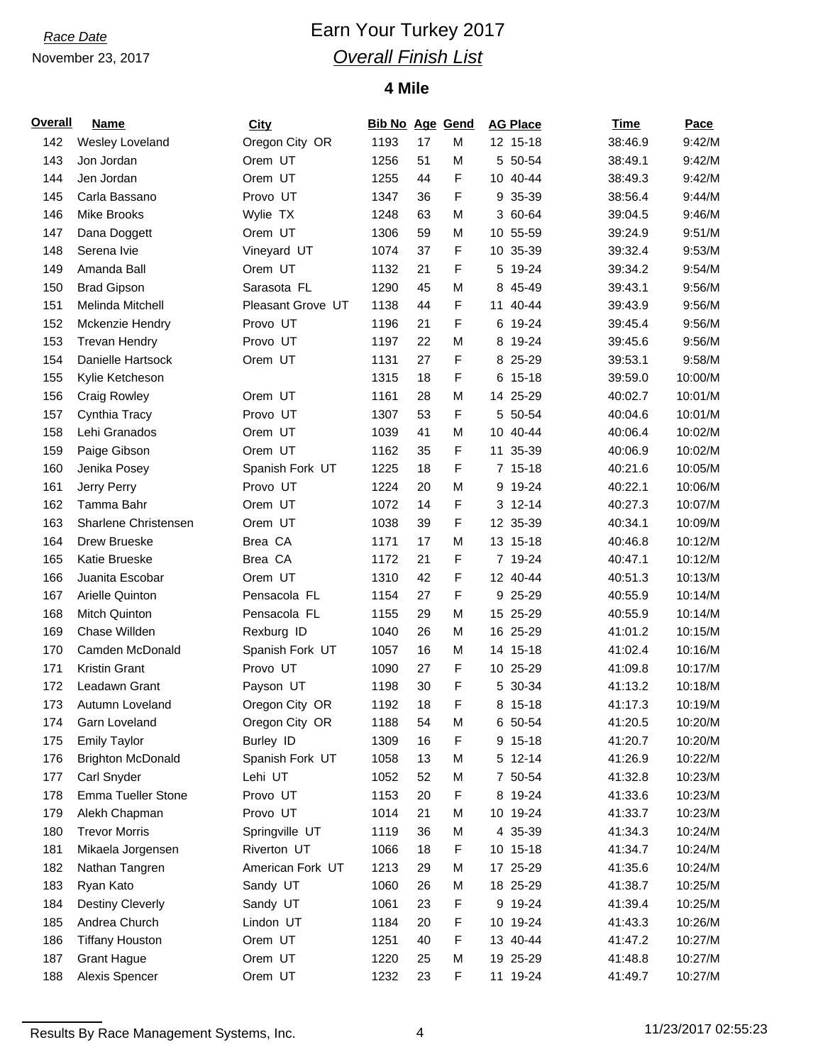## *Race Date* **Earn Your Turkey 2017** *Overall Finish List*

### **4 Mile**

| <b>Overall</b> | Name                      | <b>City</b>       | <b>Bib No Age Gend</b> |    |   |    | <b>AG Place</b> | <b>Time</b> | Pace    |
|----------------|---------------------------|-------------------|------------------------|----|---|----|-----------------|-------------|---------|
| 142            | Wesley Loveland           | Oregon City OR    | 1193                   | 17 | M |    | 12 15-18        | 38:46.9     | 9:42/M  |
| 143            | Jon Jordan                | Orem UT           | 1256                   | 51 | M |    | 5 50-54         | 38:49.1     | 9:42/M  |
| 144            | Jen Jordan                | Orem UT           | 1255                   | 44 | F |    | 10 40-44        | 38:49.3     | 9:42/M  |
| 145            | Carla Bassano             | Provo UT          | 1347                   | 36 | F |    | 9 35-39         | 38:56.4     | 9:44/M  |
| 146            | <b>Mike Brooks</b>        | Wylie TX          | 1248                   | 63 | M |    | 3 60-64         | 39:04.5     | 9:46/M  |
| 147            | Dana Doggett              | Orem UT           | 1306                   | 59 | M |    | 10 55-59        | 39:24.9     | 9:51/M  |
| 148            | Serena Ivie               | Vineyard UT       | 1074                   | 37 | F |    | 10 35-39        | 39:32.4     | 9:53/M  |
| 149            | Amanda Ball               | Orem UT           | 1132                   | 21 | F |    | 5 19-24         | 39:34.2     | 9:54/M  |
| 150            | <b>Brad Gipson</b>        | Sarasota FL       | 1290                   | 45 | M |    | 8 45-49         | 39:43.1     | 9:56/M  |
| 151            | Melinda Mitchell          | Pleasant Grove UT | 1138                   | 44 | F | 11 | 40-44           | 39:43.9     | 9:56/M  |
| 152            | Mckenzie Hendry           | Provo UT          | 1196                   | 21 | F |    | 6 19-24         | 39:45.4     | 9:56/M  |
| 153            | <b>Trevan Hendry</b>      | Provo UT          | 1197                   | 22 | M |    | 8 19-24         | 39:45.6     | 9:56/M  |
| 154            | Danielle Hartsock         | Orem UT           | 1131                   | 27 | F |    | 8 25-29         | 39:53.1     | 9:58/M  |
| 155            | Kylie Ketcheson           |                   | 1315                   | 18 | F | 6  | $15-18$         | 39:59.0     | 10:00/M |
| 156            | <b>Craig Rowley</b>       | Orem UT           | 1161                   | 28 | M |    | 14 25-29        | 40:02.7     | 10:01/M |
| 157            | Cynthia Tracy             | Provo UT          | 1307                   | 53 | F |    | 5 50-54         | 40:04.6     | 10:01/M |
| 158            | Lehi Granados             | Orem UT           | 1039                   | 41 | M |    | 10 40-44        | 40:06.4     | 10:02/M |
| 159            | Paige Gibson              | Orem UT           | 1162                   | 35 | F | 11 | 35-39           | 40:06.9     | 10:02/M |
| 160            | Jenika Posey              | Spanish Fork UT   | 1225                   | 18 | F |    | $7 15-18$       | 40:21.6     | 10:05/M |
| 161            | Jerry Perry               | Provo UT          | 1224                   | 20 | M |    | 9 19-24         | 40:22.1     | 10:06/M |
| 162            | Tamma Bahr                | Orem UT           | 1072                   | 14 | F |    | 3 12-14         | 40:27.3     | 10:07/M |
| 163            | Sharlene Christensen      | Orem UT           | 1038                   | 39 | F |    | 12 35-39        | 40:34.1     | 10:09/M |
| 164            | Drew Brueske              | Brea CA           | 1171                   | 17 | M |    | 13 15-18        | 40:46.8     | 10:12/M |
| 165            | Katie Brueske             | Brea CA           | 1172                   | 21 | F |    | 7 19-24         | 40:47.1     | 10:12/M |
| 166            | Juanita Escobar           | Orem UT           | 1310                   | 42 | F |    | 12 40-44        | 40:51.3     | 10:13/M |
| 167            | Arielle Quinton           | Pensacola FL      | 1154                   | 27 | F |    | 9 25-29         | 40:55.9     | 10:14/M |
| 168            | Mitch Quinton             | Pensacola FL      | 1155                   | 29 | M |    | 15 25-29        | 40:55.9     | 10:14/M |
| 169            | Chase Willden             | Rexburg ID        | 1040                   | 26 | M |    | 16 25-29        | 41:01.2     | 10:15/M |
| 170            | Camden McDonald           | Spanish Fork UT   | 1057                   | 16 | M |    | 14 15-18        | 41:02.4     | 10:16/M |
| 171            | <b>Kristin Grant</b>      | Provo UT          | 1090                   | 27 | F |    | 10 25-29        | 41:09.8     | 10:17/M |
| 172            | Leadawn Grant             | Payson UT         | 1198                   | 30 | F |    | 5 30-34         | 41:13.2     | 10:18/M |
| 173            | Autumn Loveland           | Oregon City OR    | 1192                   | 18 | F |    | 8 15-18         | 41:17.3     | 10:19/M |
| 174            | Garn Loveland             | Oregon City OR    | 1188                   | 54 | M |    | 6 50-54         | 41:20.5     | 10:20/M |
| 175            | <b>Emily Taylor</b>       | Burley ID         | 1309                   | 16 | F |    | 9 15-18         | 41:20.7     | 10:20/M |
| 176            | <b>Brighton McDonald</b>  | Spanish Fork UT   | 1058                   | 13 | M |    | 5 12-14         | 41:26.9     | 10:22/M |
| 177            | Carl Snyder               | Lehi UT           | 1052                   | 52 | M |    | 7 50-54         | 41:32.8     | 10:23/M |
| 178            | <b>Emma Tueller Stone</b> | Provo UT          | 1153                   | 20 | F |    | 8 19-24         | 41:33.6     | 10:23/M |
| 179            | Alekh Chapman             | Provo UT          | 1014                   | 21 | M |    | 10 19-24        | 41:33.7     | 10:23/M |
| 180            | <b>Trevor Morris</b>      | Springville UT    | 1119                   | 36 | M |    | 4 35-39         | 41:34.3     | 10:24/M |
| 181            | Mikaela Jorgensen         | Riverton UT       | 1066                   | 18 | F |    | 10 15-18        | 41:34.7     | 10:24/M |
| 182            | Nathan Tangren            | American Fork UT  | 1213                   | 29 | M |    | 17 25-29        | 41:35.6     | 10:24/M |
| 183            | Ryan Kato                 | Sandy UT          | 1060                   | 26 | M |    | 18 25-29        | 41:38.7     | 10:25/M |
| 184            | <b>Destiny Cleverly</b>   | Sandy UT          | 1061                   | 23 | F |    | 9 19-24         | 41:39.4     | 10:25/M |
| 185            | Andrea Church             | Lindon UT         | 1184                   | 20 | F |    | 10 19-24        | 41:43.3     | 10:26/M |
| 186            | <b>Tiffany Houston</b>    | Orem UT           | 1251                   | 40 | F |    | 13 40-44        | 41:47.2     | 10:27/M |
| 187            | <b>Grant Hague</b>        | Orem UT           | 1220                   | 25 | M |    | 19 25-29        | 41:48.8     | 10:27/M |
| 188            | Alexis Spencer            | Orem UT           | 1232                   | 23 | F |    | 11 19-24        | 41:49.7     | 10:27/M |

Results By Race Management Systems, Inc. 4 11/23/2017 02:55:23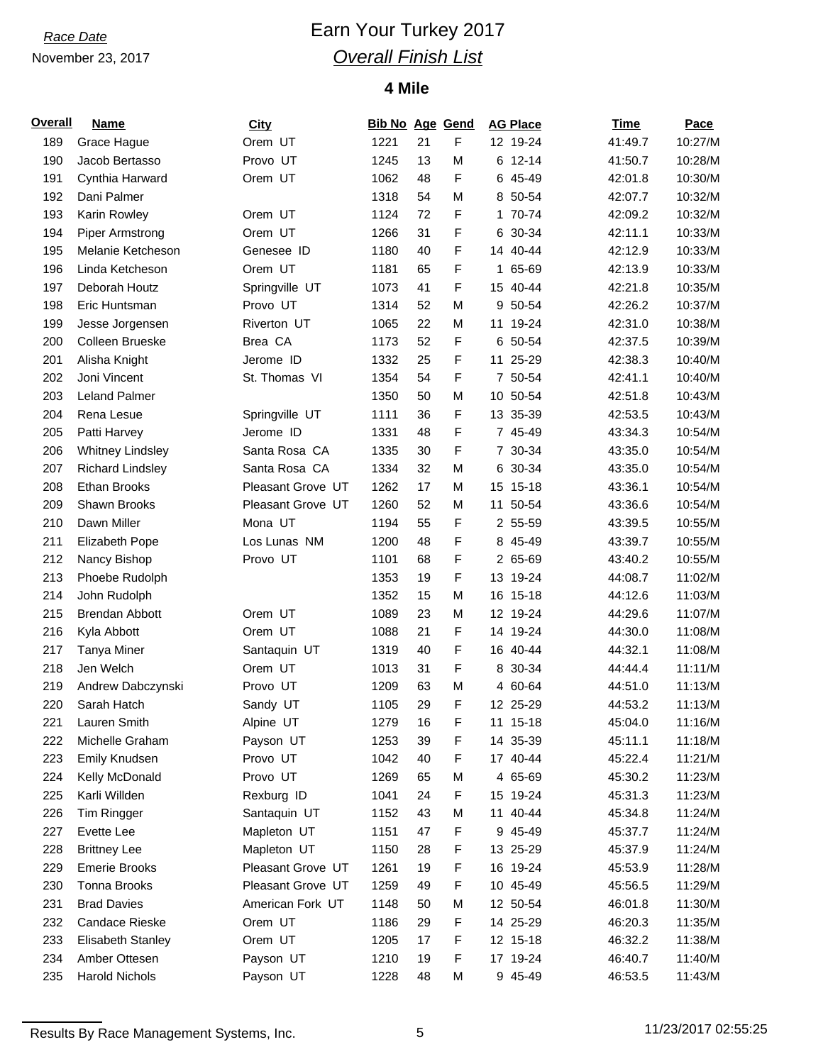## *Race Date* **Earn Your Turkey 2017** *Overall Finish List*

### **4 Mile**

| <b>Overall</b> | <b>Name</b>             | <b>City</b>       | <b>Bib No Age Gend</b> |    |   |    | <b>AG Place</b> | <b>Time</b> | <b>Pace</b> |
|----------------|-------------------------|-------------------|------------------------|----|---|----|-----------------|-------------|-------------|
| 189            | Grace Hague             | Orem UT           | 1221                   | 21 | F |    | 12 19-24        | 41:49.7     | 10:27/M     |
| 190            | Jacob Bertasso          | Provo UT          | 1245                   | 13 | M |    | 6 12-14         | 41:50.7     | 10:28/M     |
| 191            | Cynthia Harward         | Orem UT           | 1062                   | 48 | F |    | 6 45-49         | 42:01.8     | 10:30/M     |
| 192            | Dani Palmer             |                   | 1318                   | 54 | M |    | 8 50-54         | 42:07.7     | 10:32/M     |
| 193            | Karin Rowley            | Orem UT           | 1124                   | 72 | F |    | 1 70-74         | 42:09.2     | 10:32/M     |
| 194            | <b>Piper Armstrong</b>  | Orem UT           | 1266                   | 31 | F |    | 6 30-34         | 42:11.1     | 10:33/M     |
| 195            | Melanie Ketcheson       | Genesee ID        | 1180                   | 40 | F |    | 14 40-44        | 42:12.9     | 10:33/M     |
| 196            | Linda Ketcheson         | Orem UT           | 1181                   | 65 | F |    | 1 65-69         | 42:13.9     | 10:33/M     |
| 197            | Deborah Houtz           | Springville UT    | 1073                   | 41 | F |    | 15 40-44        | 42:21.8     | 10:35/M     |
| 198            | Eric Huntsman           | Provo UT          | 1314                   | 52 | M |    | 9 50-54         | 42:26.2     | 10:37/M     |
| 199            | Jesse Jorgensen         | Riverton UT       | 1065                   | 22 | M | 11 | 19-24           | 42:31.0     | 10:38/M     |
| 200            | Colleen Brueske         | Brea CA           | 1173                   | 52 | F |    | 6 50-54         | 42:37.5     | 10:39/M     |
| 201            | Alisha Knight           | Jerome ID         | 1332                   | 25 | F |    | 11 25-29        | 42:38.3     | 10:40/M     |
| 202            | Joni Vincent            | St. Thomas VI     | 1354                   | 54 | F |    | 7 50-54         | 42:41.1     | 10:40/M     |
| 203            | <b>Leland Palmer</b>    |                   | 1350                   | 50 | M |    | 10 50-54        | 42:51.8     | 10:43/M     |
| 204            | Rena Lesue              | Springville UT    | 1111                   | 36 | F |    | 13 35-39        | 42:53.5     | 10:43/M     |
| 205            | Patti Harvey            | Jerome ID         | 1331                   | 48 | F |    | 7 45-49         | 43:34.3     | 10:54/M     |
| 206            | <b>Whitney Lindsley</b> | Santa Rosa CA     | 1335                   | 30 | F |    | 7 30-34         | 43:35.0     | 10:54/M     |
| 207            | <b>Richard Lindsley</b> | Santa Rosa CA     | 1334                   | 32 | M |    | 6 30-34         | 43:35.0     | 10:54/M     |
| 208            | <b>Ethan Brooks</b>     | Pleasant Grove UT | 1262                   | 17 | M |    | 15 15-18        | 43:36.1     | 10:54/M     |
| 209            | Shawn Brooks            | Pleasant Grove UT | 1260                   | 52 | M |    | 11 50-54        | 43:36.6     | 10:54/M     |
| 210            | Dawn Miller             | Mona UT           | 1194                   | 55 | F |    | 2 55-59         | 43:39.5     | 10:55/M     |
| 211            | <b>Elizabeth Pope</b>   | Los Lunas NM      | 1200                   | 48 | F |    | 8 45-49         | 43:39.7     | 10:55/M     |
| 212            | Nancy Bishop            | Provo UT          | 1101                   | 68 | F |    | 2 65-69         | 43:40.2     | 10:55/M     |
| 213            | Phoebe Rudolph          |                   | 1353                   | 19 | F |    | 13 19-24        | 44:08.7     | 11:02/M     |
| 214            | John Rudolph            |                   | 1352                   | 15 | M |    | 16 15-18        | 44:12.6     | 11:03/M     |
| 215            | <b>Brendan Abbott</b>   | Orem UT           | 1089                   | 23 | M |    | 12 19-24        | 44:29.6     | 11:07/M     |
| 216            | Kyla Abbott             | Orem UT           | 1088                   | 21 | F |    | 14 19-24        | 44:30.0     | 11:08/M     |
| 217            | <b>Tanya Miner</b>      | Santaquin UT      | 1319                   | 40 | F |    | 16 40-44        | 44:32.1     | 11:08/M     |
| 218            | Jen Welch               | Orem UT           | 1013                   | 31 | F |    | 8 30-34         | 44:44.4     | 11:11/M     |
| 219            | Andrew Dabczynski       | Provo UT          | 1209                   | 63 | M |    | 4 60-64         | 44:51.0     | 11:13/M     |
| 220            | Sarah Hatch             | Sandy UT          | 1105                   | 29 | F |    | 12 25-29        | 44:53.2     | 11:13/M     |
| 221            | Lauren Smith            | Alpine UT         | 1279                   | 16 | F |    | 11 15-18        | 45:04.0     | 11:16/M     |
| 222            | Michelle Graham         | Payson UT         | 1253                   | 39 | F |    | 14 35-39        | 45:11.1     | 11:18/M     |
| 223            | <b>Emily Knudsen</b>    | Provo UT          | 1042                   | 40 | F |    | 17 40-44        | 45:22.4     | 11:21/M     |
| 224            | Kelly McDonald          | Provo UT          | 1269                   | 65 | M |    | 4 65-69         | 45:30.2     | 11:23/M     |
| 225            | Karli Willden           | Rexburg ID        | 1041                   | 24 | F |    | 15 19-24        | 45:31.3     | 11:23/M     |
| 226            | Tim Ringger             | Santaquin UT      | 1152                   | 43 | M |    | 11 40-44        | 45:34.8     | 11:24/M     |
| 227            | Evette Lee              | Mapleton UT       | 1151                   | 47 | F |    | 9 45-49         | 45:37.7     | 11:24/M     |
| 228            | <b>Brittney Lee</b>     | Mapleton UT       | 1150                   | 28 | F |    | 13 25-29        | 45:37.9     | 11:24/M     |
| 229            | <b>Emerie Brooks</b>    | Pleasant Grove UT | 1261                   | 19 | F |    | 16 19-24        | 45:53.9     | 11:28/M     |
| 230            | Tonna Brooks            | Pleasant Grove UT | 1259                   | 49 | F |    | 10 45-49        | 45:56.5     | 11:29/M     |
| 231            | <b>Brad Davies</b>      | American Fork UT  | 1148                   | 50 | M |    | 12 50-54        | 46:01.8     | 11:30/M     |
| 232            | Candace Rieske          | Orem UT           | 1186                   | 29 | F |    | 14 25-29        | 46:20.3     | 11:35/M     |
| 233            | Elisabeth Stanley       | Orem UT           | 1205                   | 17 | F |    | 12 15-18        | 46:32.2     | 11:38/M     |
| 234            | Amber Ottesen           | Payson UT         | 1210                   | 19 | F |    | 17 19-24        | 46:40.7     | 11:40/M     |
| 235            | <b>Harold Nichols</b>   | Payson UT         | 1228                   | 48 | M |    | 9 45-49         | 46:53.5     | 11:43/M     |

Results By Race Management Systems, Inc. 6 11/23/2017 02:55:25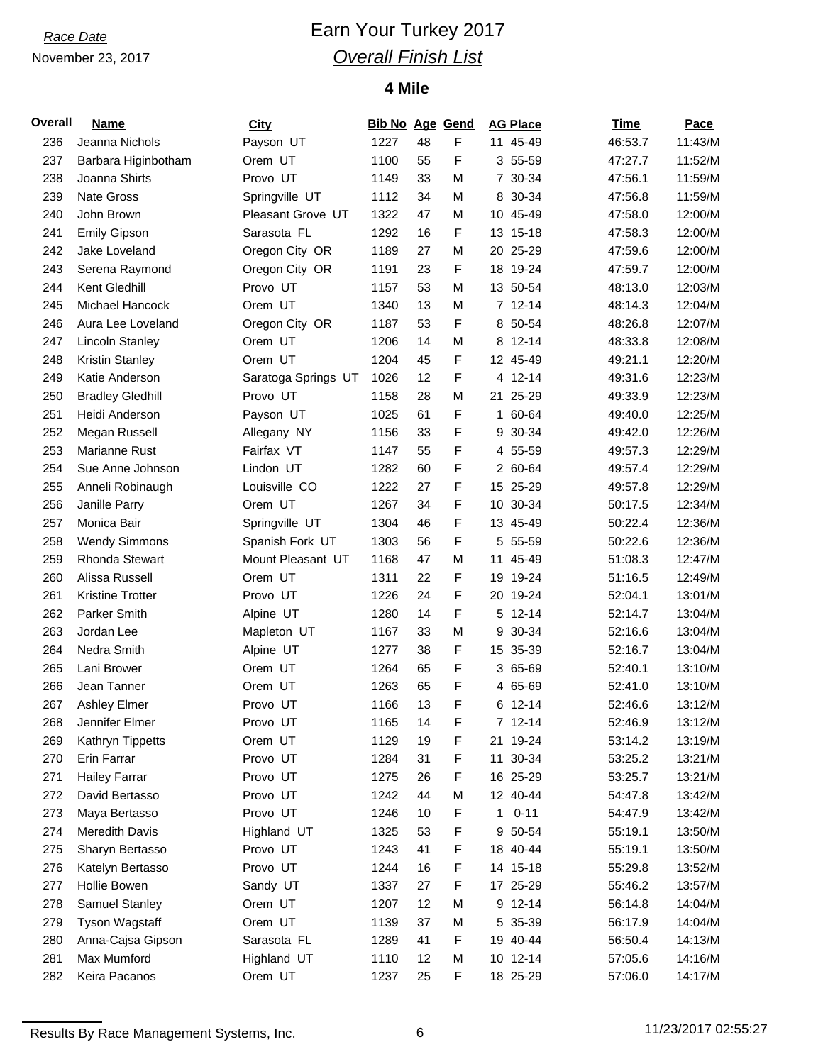## *Race Date* **Earn Your Turkey 2017** *Overall Finish List*

### **4 Mile**

| <b>Overall</b> | <b>Name</b>             | <b>City</b>         | <b>Bib No Age Gend</b> |    |   |              | <b>AG Place</b> | <b>Time</b> | <b>Pace</b> |
|----------------|-------------------------|---------------------|------------------------|----|---|--------------|-----------------|-------------|-------------|
| 236            | Jeanna Nichols          | Payson UT           | 1227                   | 48 | F |              | 11 45-49        | 46:53.7     | 11:43/M     |
| 237            | Barbara Higinbotham     | Orem UT             | 1100                   | 55 | F |              | 3 55-59         | 47:27.7     | 11:52/M     |
| 238            | Joanna Shirts           | Provo UT            | 1149                   | 33 | M |              | 7 30-34         | 47:56.1     | 11:59/M     |
| 239            | Nate Gross              | Springville UT      | 1112                   | 34 | M |              | 8 30-34         | 47:56.8     | 11:59/M     |
| 240            | John Brown              | Pleasant Grove UT   | 1322                   | 47 | M |              | 10 45-49        | 47:58.0     | 12:00/M     |
| 241            | <b>Emily Gipson</b>     | Sarasota FL         | 1292                   | 16 | F |              | 13 15-18        | 47:58.3     | 12:00/M     |
| 242            | Jake Loveland           | Oregon City OR      | 1189                   | 27 | M |              | 20 25-29        | 47:59.6     | 12:00/M     |
| 243            | Serena Raymond          | Oregon City OR      | 1191                   | 23 | F |              | 18 19-24        | 47:59.7     | 12:00/M     |
| 244            | Kent Gledhill           | Provo UT            | 1157                   | 53 | M |              | 13 50-54        | 48:13.0     | 12:03/M     |
| 245            | <b>Michael Hancock</b>  | Orem UT             | 1340                   | 13 | м |              | $7 12 - 14$     | 48:14.3     | 12:04/M     |
| 246            | Aura Lee Loveland       | Oregon City OR      | 1187                   | 53 | F |              | 8 50-54         | 48:26.8     | 12:07/M     |
| 247            | Lincoln Stanley         | Orem UT             | 1206                   | 14 | M |              | 8 12-14         | 48:33.8     | 12:08/M     |
| 248            | <b>Kristin Stanley</b>  | Orem UT             | 1204                   | 45 | F |              | 12 45-49        | 49:21.1     | 12:20/M     |
| 249            | Katie Anderson          | Saratoga Springs UT | 1026                   | 12 | F |              | 4 12-14         | 49:31.6     | 12:23/M     |
| 250            | <b>Bradley Gledhill</b> | Provo UT            | 1158                   | 28 | M |              | 21 25-29        | 49:33.9     | 12:23/M     |
| 251            | Heidi Anderson          | Payson UT           | 1025                   | 61 | F |              | 1 60-64         | 49:40.0     | 12:25/M     |
| 252            | Megan Russell           | Allegany NY         | 1156                   | 33 | F |              | 9 30-34         | 49:42.0     | 12:26/M     |
| 253            | Marianne Rust           | Fairfax VT          | 1147                   | 55 | F |              | 4 55-59         | 49:57.3     | 12:29/M     |
| 254            | Sue Anne Johnson        | Lindon UT           | 1282                   | 60 | F |              | 2 60-64         | 49:57.4     | 12:29/M     |
| 255            | Anneli Robinaugh        | Louisville CO       | 1222                   | 27 | F |              | 15 25-29        | 49:57.8     | 12:29/M     |
| 256            | Janille Parry           | Orem UT             | 1267                   | 34 | F |              | 10 30-34        | 50:17.5     | 12:34/M     |
| 257            | Monica Bair             | Springville UT      | 1304                   | 46 | F |              | 13 45-49        | 50:22.4     | 12:36/M     |
| 258            | <b>Wendy Simmons</b>    | Spanish Fork UT     | 1303                   | 56 | F |              | 5 55-59         | 50:22.6     | 12:36/M     |
| 259            | <b>Rhonda Stewart</b>   | Mount Pleasant UT   | 1168                   | 47 | M |              | 11 45-49        | 51:08.3     | 12:47/M     |
| 260            | Alissa Russell          | Orem UT             | 1311                   | 22 | F |              | 19 19 - 24      | 51:16.5     | 12:49/M     |
| 261            | <b>Kristine Trotter</b> | Provo UT            | 1226                   | 24 | F | 20           | 19-24           | 52:04.1     | 13:01/M     |
| 262            | Parker Smith            | Alpine UT           | 1280                   | 14 | F |              | 5 12-14         | 52:14.7     | 13:04/M     |
| 263            | Jordan Lee              | Mapleton UT         | 1167                   | 33 | M |              | 9 30-34         | 52:16.6     | 13:04/M     |
| 264            | Nedra Smith             | Alpine UT           | 1277                   | 38 | F |              | 15 35-39        | 52:16.7     | 13:04/M     |
| 265            | Lani Brower             | Orem UT             | 1264                   | 65 | F |              | 3 65-69         | 52:40.1     | 13:10/M     |
| 266            | Jean Tanner             | Orem UT             | 1263                   | 65 | F |              | 4 65-69         | 52:41.0     | 13:10/M     |
| 267            | <b>Ashley Elmer</b>     | Provo UT            | 1166                   | 13 | F |              | 6 12-14         | 52:46.6     | 13:12/M     |
| 268            | Jennifer Elmer          | Provo UT            | 1165                   | 14 | F |              | 7 12-14         | 52:46.9     | 13:12/M     |
| 269            | Kathryn Tippetts        | Orem UT             | 1129                   | 19 | F |              | 21 19-24        | 53:14.2     | 13:19/M     |
| 270            | Erin Farrar             | Provo UT            | 1284                   | 31 | F |              | 11 30-34        | 53:25.2     | 13:21/M     |
| 271            | <b>Hailey Farrar</b>    | Provo UT            | 1275                   | 26 | F |              | 16 25-29        | 53:25.7     | 13:21/M     |
| 272            | David Bertasso          | Provo UT            | 1242                   | 44 | M |              | 12 40-44        | 54:47.8     | 13:42/M     |
| 273            | Maya Bertasso           | Provo UT            | 1246                   | 10 | F | $\mathbf{1}$ | $0 - 11$        | 54:47.9     | 13:42/M     |
| 274            | <b>Meredith Davis</b>   | Highland UT         | 1325                   | 53 | F |              | 9 50-54         | 55:19.1     | 13:50/M     |
| 275            | Sharyn Bertasso         | Provo UT            | 1243                   | 41 | F |              | 18 40-44        | 55:19.1     | 13:50/M     |
| 276            | Katelyn Bertasso        | Provo UT            | 1244                   | 16 | F |              | 14 15-18        | 55:29.8     | 13:52/M     |
| 277            | Hollie Bowen            | Sandy UT            | 1337                   | 27 | F |              | 17 25-29        | 55:46.2     | 13:57/M     |
| 278            | Samuel Stanley          | Orem UT             | 1207                   | 12 | M |              | 9 12-14         | 56:14.8     | 14:04/M     |
| 279            | Tyson Wagstaff          | Orem UT             | 1139                   | 37 | M |              | 5 35-39         | 56:17.9     | 14:04/M     |
| 280            | Anna-Cajsa Gipson       | Sarasota FL         | 1289                   | 41 | F |              | 19 40-44        | 56:50.4     | 14:13/M     |
| 281            | Max Mumford             | Highland UT         | 1110                   | 12 | M |              | 10 12-14        | 57:05.6     | 14:16/M     |
| 282            | Keira Pacanos           | Orem UT             | 1237                   | 25 | F |              | 18 25-29        | 57:06.0     | 14:17/M     |

Results By Race Management Systems, Inc. 6 11/23/2017 02:55:27